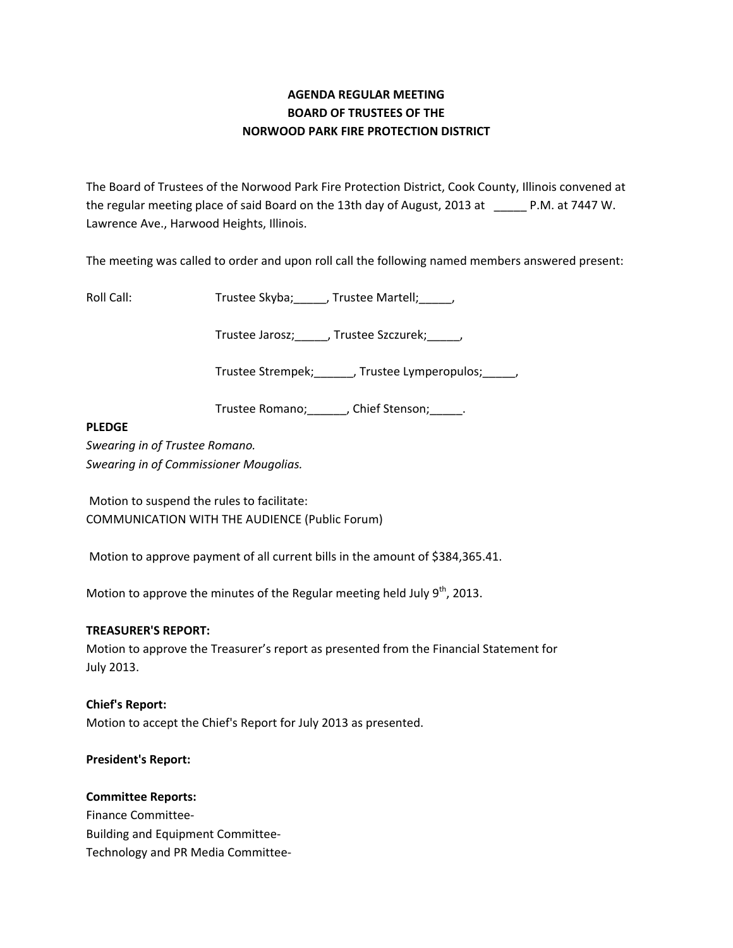# **AGENDA REGULAR MEETING BOARD OF TRUSTEES OF THE NORWOOD PARK FIRE PROTECTION DISTRICT**

The Board of Trustees of the Norwood Park Fire Protection District, Cook County, Illinois convened at the regular meeting place of said Board on the 13th day of August, 2013 at P.M. at 7447 W. Lawrence Ave., Harwood Heights, Illinois.

The meeting was called to order and upon roll call the following named members answered present:

Roll Call: Trustee Skyba; J. Trustee Martell; Trustee Martell;

Trustee Jarosz;\_\_\_\_\_, Trustee Szczurek;\_\_\_\_\_,

Trustee Strempek;\_\_\_\_\_\_, Trustee Lymperopulos;\_\_\_\_\_,

Trustee Romano; Chief Stenson; Fig.

### **PLEDGE**

*Swearing in of Trustee Romano. Swearing in of Commissioner Mougolias.* 

Motion to suspend the rules to facilitate: COMMUNICATION WITH THE AUDIENCE (Public Forum)

Motion to approve payment of all current bills in the amount of \$384,365.41.

Motion to approve the minutes of the Regular meeting held July  $9^{th}$ , 2013.

### **TREASURER'S REPORT:**

Motion to approve the Treasurer's report as presented from the Financial Statement for July 2013.

## **Chief's Report:**

Motion to accept the Chief's Report for July 2013 as presented.

### **President's Report:**

### **Committee Reports:**

Finance Committee‐ Building and Equipment Committee‐ Technology and PR Media Committee‐